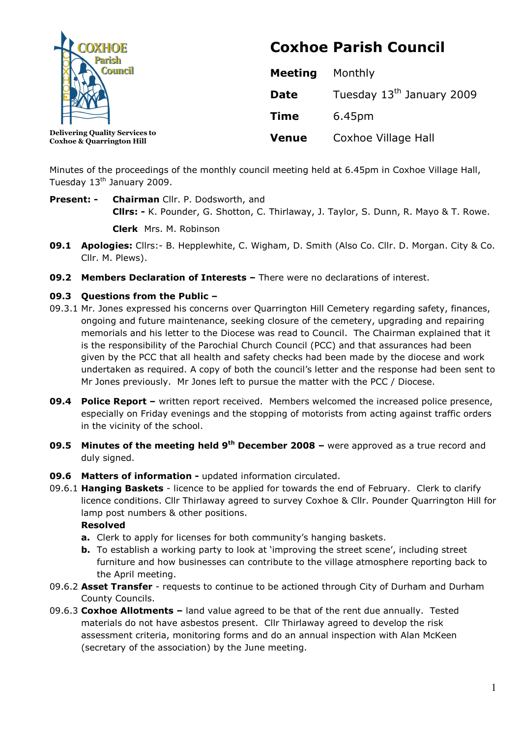

Coxhoe & Quarrington Hill

Coxhoe Parish Council

| <b>Meeting</b> | Monthly                               |
|----------------|---------------------------------------|
| Date           | Tuesday 13 <sup>th</sup> January 2009 |
| <b>Time</b>    | 6.45pm                                |
| <b>Venue</b>   | Coxhoe Village Hall                   |

Minutes of the proceedings of the monthly council meeting held at 6.45pm in Coxhoe Village Hall, Tuesday 13<sup>th</sup> January 2009.

Present: - Chairman Cllr. P. Dodsworth, and Cllrs: - K. Pounder, G. Shotton, C. Thirlaway, J. Taylor, S. Dunn, R. Mayo & T. Rowe.

Clerk Mrs. M. Robinson

- 09.1 Apologies: Cllrs:- B. Hepplewhite, C. Wigham, D. Smith (Also Co. Cllr. D. Morgan. City & Co. Cllr. M. Plews).
- 09.2 Members Declaration of Interests There were no declarations of interest.

## 09.3 Questions from the Public –

- 09.3.1 Mr. Jones expressed his concerns over Quarrington Hill Cemetery regarding safety, finances, ongoing and future maintenance, seeking closure of the cemetery, upgrading and repairing memorials and his letter to the Diocese was read to Council. The Chairman explained that it is the responsibility of the Parochial Church Council (PCC) and that assurances had been given by the PCC that all health and safety checks had been made by the diocese and work undertaken as required. A copy of both the council's letter and the response had been sent to Mr Jones previously. Mr Jones left to pursue the matter with the PCC / Diocese.
- **09.4 Police Report –** written report received. Members welcomed the increased police presence, especially on Friday evenings and the stopping of motorists from acting against traffic orders in the vicinity of the school.
- **09.5 Minutes of the meeting held 9<sup>th</sup> December 2008** were approved as a true record and duly signed.
- 09.6 Matters of information updated information circulated.
- 09.6.1 **Hanging Baskets** licence to be applied for towards the end of February. Clerk to clarify licence conditions. Cllr Thirlaway agreed to survey Coxhoe & Cllr. Pounder Quarrington Hill for lamp post numbers & other positions.

#### Resolved

- a. Clerk to apply for licenses for both community's hanging baskets.
- b. To establish a working party to look at 'improving the street scene', including street furniture and how businesses can contribute to the village atmosphere reporting back to the April meeting.
- 09.6.2 Asset Transfer requests to continue to be actioned through City of Durham and Durham County Councils.
- 09.6.3 Coxhoe Allotments  $-$  land value agreed to be that of the rent due annually. Tested materials do not have asbestos present. Cllr Thirlaway agreed to develop the risk assessment criteria, monitoring forms and do an annual inspection with Alan McKeen (secretary of the association) by the June meeting.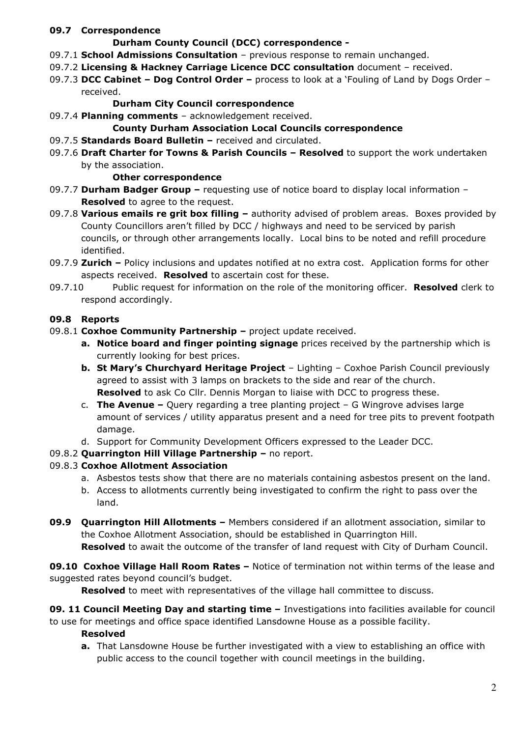## 09.7 Correspondence

## Durham County Council (DCC) correspondence -

- $09.7.1$  School Admissions Consultation previous response to remain unchanged.
- 09.7.2 Licensing & Hackney Carriage Licence DCC consultation document received.
- 09.7.3 DCC Cabinet Dog Control Order process to look at a 'Fouling of Land by Dogs Order received.

# Durham City Council correspondence

09.7.4 Planning comments - acknowledgement received.

# County Durham Association Local Councils correspondence

- 09.7.5 Standards Board Bulletin received and circulated.
- 09.7.6 Draft Charter for Towns & Parish Councils Resolved to support the work undertaken by the association.

#### Other correspondence

- 09.7.7 Durham Badger Group requesting use of notice board to display local information **Resolved** to agree to the request.
- 09.7.8 Various emails re grit box filling  $-$  authority advised of problem areas. Boxes provided by County Councillors aren't filled by DCC / highways and need to be serviced by parish councils, or through other arrangements locally. Local bins to be noted and refill procedure identified.
- 09.7.9 Zurich Policy inclusions and updates notified at no extra cost. Application forms for other aspects received. **Resolved** to ascertain cost for these.
- 09.7.10 Public request for information on the role of the monitoring officer. **Resolved** clerk to respond accordingly.

## 09.8 Reports

- 09.8.1 Coxhoe Community Partnership project update received.
	- a. Notice board and finger pointing signage prices received by the partnership which is currently looking for best prices.
	- b. St Mary's Churchyard Heritage Project Lighting Coxhoe Parish Council previously agreed to assist with 3 lamps on brackets to the side and rear of the church. **Resolved** to ask Co Cllr. Dennis Morgan to liaise with DCC to progress these.
	- c. **The Avenue –** Query regarding a tree planting project G Wingrove advises large amount of services / utility apparatus present and a need for tree pits to prevent footpath damage.
	- d. Support for Community Development Officers expressed to the Leader DCC.

## 09.8.2 Quarrington Hill Village Partnership – no report.

## 09.8.3 Coxhoe Allotment Association

- a. Asbestos tests show that there are no materials containing asbestos present on the land.
- b. Access to allotments currently being investigated to confirm the right to pass over the land.
- 09.9 Quarrington Hill Allotments Members considered if an allotment association, similar to the Coxhoe Allotment Association, should be established in Quarrington Hill. **Resolved** to await the outcome of the transfer of land request with City of Durham Council.

09.10 Coxhoe Village Hall Room Rates - Notice of termination not within terms of the lease and suggested rates beyond council's budget.

**Resolved** to meet with representatives of the village hall committee to discuss.

09. 11 Council Meeting Day and starting time – Investigations into facilities available for council to use for meetings and office space identified Lansdowne House as a possible facility.

## Resolved

a. That Lansdowne House be further investigated with a view to establishing an office with public access to the council together with council meetings in the building.